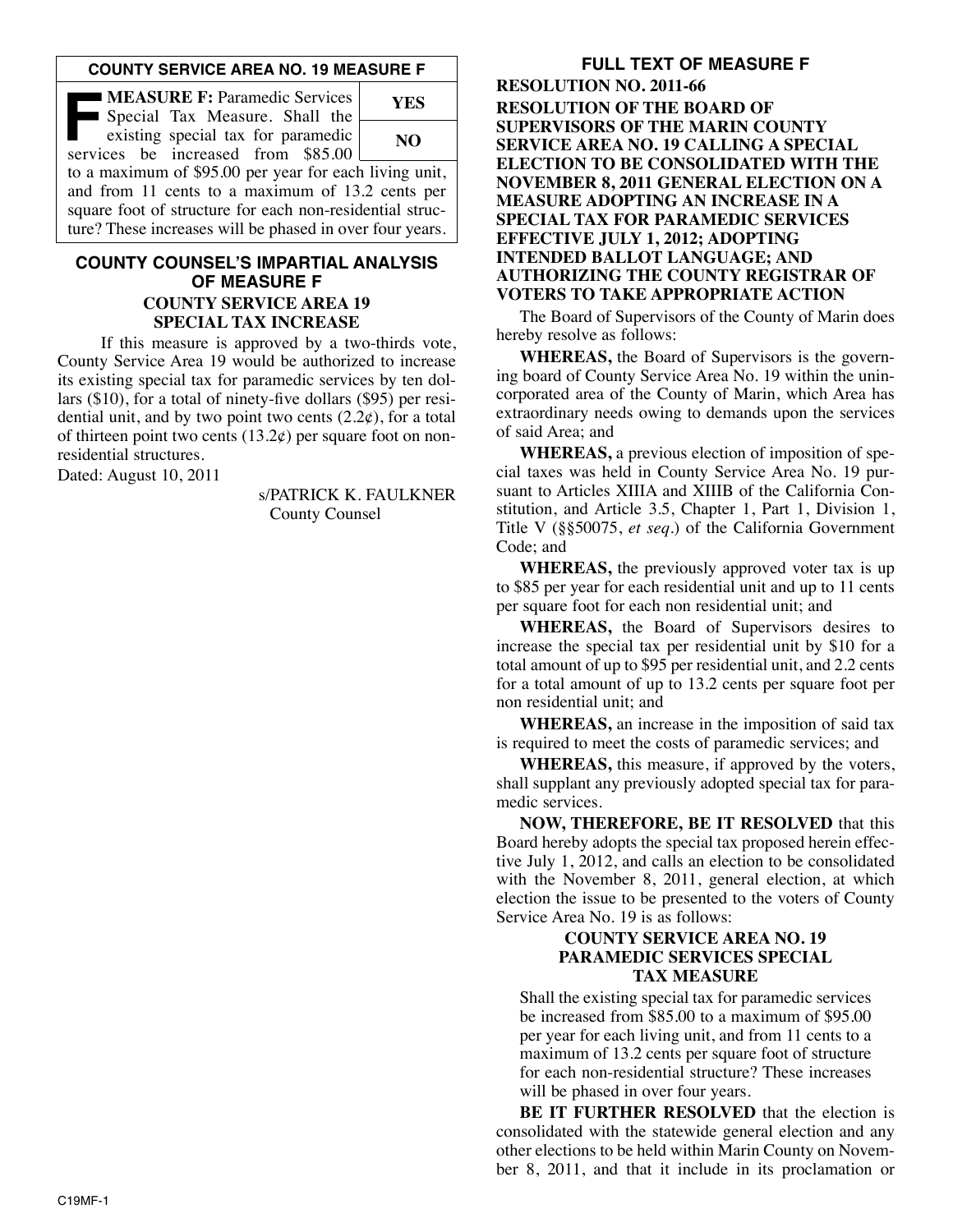### **COUNTY SERVICE AREA NO. 19 MEASURE F**

| <b>MEASURE F: Paramedic Services</b><br>Special Tax Measure. Shall the                                               | <b>YES</b> |
|----------------------------------------------------------------------------------------------------------------------|------------|
| existing special tax for paramedic<br>services be increased from \$85.00                                             | NO.        |
| to a maximum of \$95.00 per year for each living unit,<br>and from 11 cents to a maximum of 13.2 cents per           |            |
| square foot of structure for each non-residential struc-<br>ture? These increases will be phased in over four years. |            |

### **COUNTY COUNSEL'S IMPARTIAL ANALYSIS OF MEASURE F COUNTY SERVICE AREA 19 SPECIAL TAX INCREASE**

If this measure is approved by a two-thirds vote, County Service Area 19 would be authorized to increase its existing special tax for paramedic services by ten dollars (\$10), for a total of ninety-five dollars (\$95) per residential unit, and by two point two cents  $(2.2\varphi)$ , for a total of thirteen point two cents  $(13.2¢)$  per square foot on nonresidential structures.

Dated: August 10, 2011

s/PATRICK K. FAULKNER County Counsel

# **FULL TEXT OF MEASURE F**

**RESOLUTION NO. 2011-66 RESOLUTION OF THE BOARD OF SUPERVISORS OF THE MARIN COUNTY SERVICE AREA NO. 19 CALLING A SPECIAL ELECTION TO BE CONSOLIDATED WITH THE NOVEMBER 8, 2011 GENERAL ELECTION ON A MEASURE ADOPTING AN INCREASE IN A SPECIAL TAX FOR PARAMEDIC SERVICES EFFECTIVE JULY 1, 2012; ADOPTING INTENDED BALLOT LANGUAGE; AND AUTHORIZING THE COUNTY REGISTRAR OF VOTERS TO TAKE APPROPRIATE ACTION**

The Board of Supervisors of the County of Marin does hereby resolve as follows:

**WHEREAS,** the Board of Supervisors is the governing board of County Service Area No. 19 within the unincorporated area of the County of Marin, which Area has extraordinary needs owing to demands upon the services of said Area; and

**WHEREAS,** a previous election of imposition of special taxes was held in County Service Area No. 19 pursuant to Articles XIIIA and XIIIB of the California Constitution, and Article 3.5, Chapter 1, Part 1, Division 1, Title V (§§50075, *et seq*.) of the California Government Code; and

**WHEREAS,** the previously approved voter tax is up to \$85 per year for each residential unit and up to 11 cents per square foot for each non residential unit; and

**WHEREAS,** the Board of Supervisors desires to increase the special tax per residential unit by \$10 for a total amount of up to \$95 per residential unit, and 2.2 cents for a total amount of up to 13.2 cents per square foot per non residential unit; and

**WHEREAS,** an increase in the imposition of said tax is required to meet the costs of paramedic services; and

**WHEREAS,** this measure, if approved by the voters, shall supplant any previously adopted special tax for paramedic services.

**NOW, THEREFORE, BE IT RESOLVED** that this Board hereby adopts the special tax proposed herein effective July 1, 2012, and calls an election to be consolidated with the November 8, 2011, general election, at which election the issue to be presented to the voters of County Service Area No. 19 is as follows:

#### **COUNTY SERVICE AREA NO. 19 PARAMEDIC SERVICES SPECIAL TAX MEASURE**

Shall the existing special tax for paramedic services be increased from \$85.00 to a maximum of \$95.00 per year for each living unit, and from 11 cents to a maximum of 13.2 cents per square foot of structure for each non-residential structure? These increases will be phased in over four years.

**BE IT FURTHER RESOLVED** that the election is consolidated with the statewide general election and any other elections to be held within Marin County on Novem ber 8, 2011, and that it include in its proclamation or